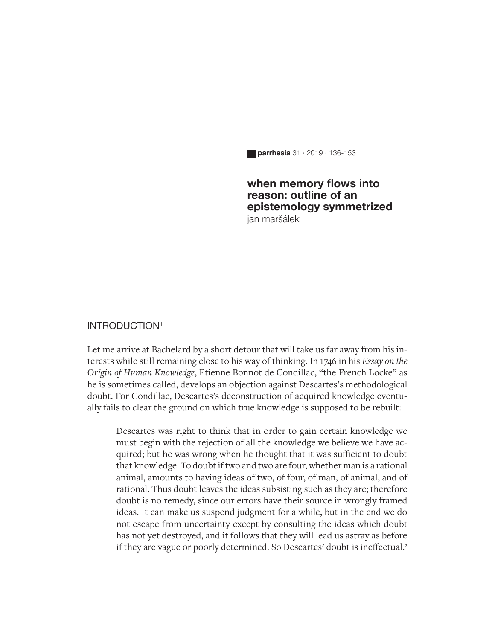**parrhesia** 31 · 2019 · 136-153

#### **when memory flows into reason: outline of an epistemology symmetrized** jan maršálek

#### INTRODUCTION1

Let me arrive at Bachelard by a short detour that will take us far away from his interests while still remaining close to his way of thinking. In 1746 in his *Essay on the Origin of Human Knowledge*, Etienne Bonnot de Condillac, "the French Locke" as he is sometimes called, develops an objection against Descartes's methodological doubt. For Condillac, Descartes's deconstruction of acquired knowledge eventually fails to clear the ground on which true knowledge is supposed to be rebuilt:

Descartes was right to think that in order to gain certain knowledge we must begin with the rejection of all the knowledge we believe we have acquired; but he was wrong when he thought that it was sufficient to doubt that knowledge. To doubt if two and two are four, whether man is a rational animal, amounts to having ideas of two, of four, of man, of animal, and of rational. Thus doubt leaves the ideas subsisting such as they are; therefore doubt is no remedy, since our errors have their source in wrongly framed ideas. It can make us suspend judgment for a while, but in the end we do not escape from uncertainty except by consulting the ideas which doubt has not yet destroyed, and it follows that they will lead us astray as before if they are vague or poorly determined. So Descartes' doubt is ineffectual.<sup>2</sup>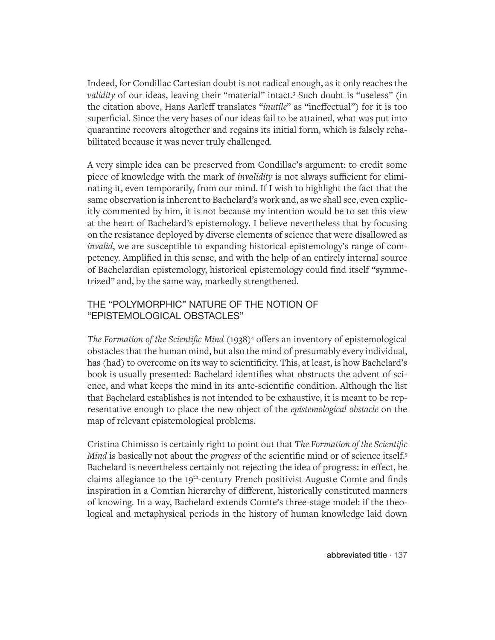Indeed, for Condillac Cartesian doubt is not radical enough, as it only reaches the validity of our ideas, leaving their "material" intact.<sup>3</sup> Such doubt is "useless" (in the citation above, Hans Aarleff translates "*inutile*" as "ineffectual") for it is too superficial. Since the very bases of our ideas fail to be attained, what was put into quarantine recovers altogether and regains its initial form, which is falsely rehabilitated because it was never truly challenged.

A very simple idea can be preserved from Condillac's argument: to credit some piece of knowledge with the mark of *invalidity* is not always sufficient for eliminating it, even temporarily, from our mind. If I wish to highlight the fact that the same observation is inherent to Bachelard's work and, as we shall see, even explicitly commented by him, it is not because my intention would be to set this view at the heart of Bachelard's epistemology. I believe nevertheless that by focusing on the resistance deployed by diverse elements of science that were disallowed as *invalid*, we are susceptible to expanding historical epistemology's range of competency. Amplified in this sense, and with the help of an entirely internal source of Bachelardian epistemology, historical epistemology could find itself "symmetrized" and, by the same way, markedly strengthened.

## THE "POLYMORPHIC" NATURE OF THE NOTION OF "EPISTEMOLOGICAL OBSTACLES"

The Formation of the Scientific Mind (1938)<sup>4</sup> offers an inventory of epistemological obstacles that the human mind, but also the mind of presumably every individual, has (had) to overcome on its way to scientificity. This, at least, is how Bachelard's book is usually presented: Bachelard identifies what obstructs the advent of science, and what keeps the mind in its ante-scientific condition. Although the list that Bachelard establishes is not intended to be exhaustive, it is meant to be representative enough to place the new object of the *epistemological obstacle* on the map of relevant epistemological problems.

Cristina Chimisso is certainly right to point out that *The Formation of the Scientific Mind* is basically not about the *progress* of the scientific mind or of science itself.<sup>5</sup> Bachelard is nevertheless certainly not rejecting the idea of progress: in effect, he claims allegiance to the 19<sup>th</sup>-century French positivist Auguste Comte and finds inspiration in a Comtian hierarchy of different, historically constituted manners of knowing. In a way, Bachelard extends Comte's three-stage model: if the theological and metaphysical periods in the history of human knowledge laid down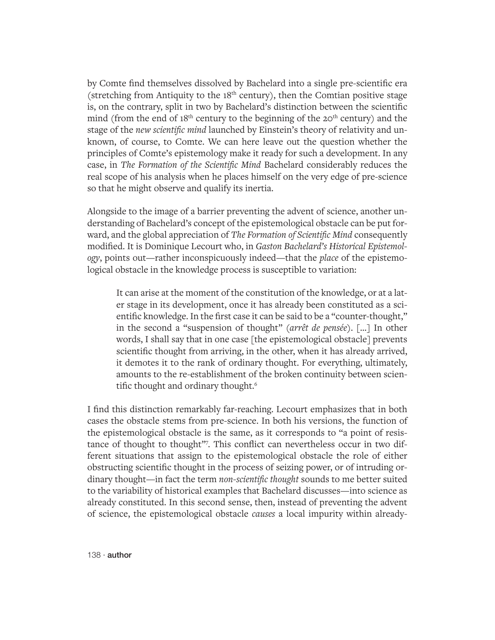by Comte find themselves dissolved by Bachelard into a single pre-scientific era (stretching from Antiquity to the  $18<sup>th</sup>$  century), then the Comtian positive stage is, on the contrary, split in two by Bachelard's distinction between the scientific mind (from the end of  $18<sup>th</sup>$  century to the beginning of the  $20<sup>th</sup>$  century) and the stage of the *new scientific mind* launched by Einstein's theory of relativity and unknown, of course, to Comte. We can here leave out the question whether the principles of Comte's epistemology make it ready for such a development. In any case, in *The Formation of the Scientific Mind* Bachelard considerably reduces the real scope of his analysis when he places himself on the very edge of pre-science so that he might observe and qualify its inertia.

Alongside to the image of a barrier preventing the advent of science, another understanding of Bachelard's concept of the epistemological obstacle can be put forward, and the global appreciation of *The Formation of Scientific Mind* consequently modified. It is Dominique Lecourt who, in *Gaston Bachelard's Historical Epistemology*, points out—rather inconspicuously indeed—that the *place* of the epistemological obstacle in the knowledge process is susceptible to variation:

It can arise at the moment of the constitution of the knowledge, or at a later stage in its development, once it has already been constituted as a scientific knowledge. In the first case it can be said to be a "counter-thought," in the second a "suspension of thought" (*arrêt de pensée*). […] In other words, I shall say that in one case [the epistemological obstacle] prevents scientific thought from arriving, in the other, when it has already arrived, it demotes it to the rank of ordinary thought. For everything, ultimately, amounts to the re-establishment of the broken continuity between scientific thought and ordinary thought.<sup>6</sup>

I find this distinction remarkably far-reaching. Lecourt emphasizes that in both cases the obstacle stems from pre-science. In both his versions, the function of the epistemological obstacle is the same, as it corresponds to "a point of resistance of thought to thought"7 . This conflict can nevertheless occur in two different situations that assign to the epistemological obstacle the role of either obstructing scientific thought in the process of seizing power, or of intruding ordinary thought—in fact the term *non-scientific thought* sounds to me better suited to the variability of historical examples that Bachelard discusses—into science as already constituted. In this second sense, then, instead of preventing the advent of science, the epistemological obstacle *causes* a local impurity within already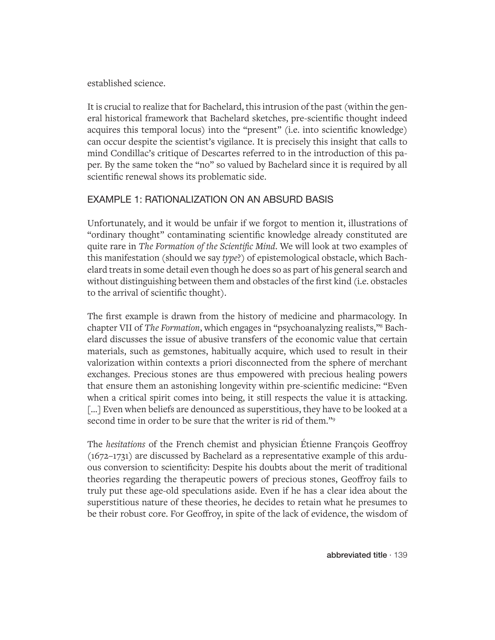established science.

It is crucial to realize that for Bachelard, this intrusion of the past (within the general historical framework that Bachelard sketches, pre-scientific thought indeed acquires this temporal locus) into the "present" (i.e. into scientific knowledge) can occur despite the scientist's vigilance. It is precisely this insight that calls to mind Condillac's critique of Descartes referred to in the introduction of this paper. By the same token the "no" so valued by Bachelard since it is required by all scientific renewal shows its problematic side.

# EXAMPLE 1: RATIONALIZATION ON AN ABSURD BASIS

Unfortunately, and it would be unfair if we forgot to mention it, illustrations of "ordinary thought" contaminating scientific knowledge already constituted are quite rare in *The Formation of the Scientific Mind*. We will look at two examples of this manifestation (should we say *type*?) of epistemological obstacle, which Bachelard treats in some detail even though he does so as part of his general search and without distinguishing between them and obstacles of the first kind (i.e. obstacles to the arrival of scientific thought).

The first example is drawn from the history of medicine and pharmacology. In chapter VII of *The Formation*, which engages in "psychoanalyzing realists,"8 Bachelard discusses the issue of abusive transfers of the economic value that certain materials, such as gemstones, habitually acquire, which used to result in their valorization within contexts a priori disconnected from the sphere of merchant exchanges. Precious stones are thus empowered with precious healing powers that ensure them an astonishing longevity within pre-scientific medicine: "Even when a critical spirit comes into being, it still respects the value it is attacking. [...] Even when beliefs are denounced as superstitious, they have to be looked at a second time in order to be sure that the writer is rid of them."<sup>9</sup>

The *hesitations* of the French chemist and physician Étienne François Geoffroy (1672–1731) are discussed by Bachelard as a representative example of this arduous conversion to scientificity: Despite his doubts about the merit of traditional theories regarding the therapeutic powers of precious stones, Geoffroy fails to truly put these age-old speculations aside. Even if he has a clear idea about the superstitious nature of these theories, he decides to retain what he presumes to be their robust core. For Geoffroy, in spite of the lack of evidence, the wisdom of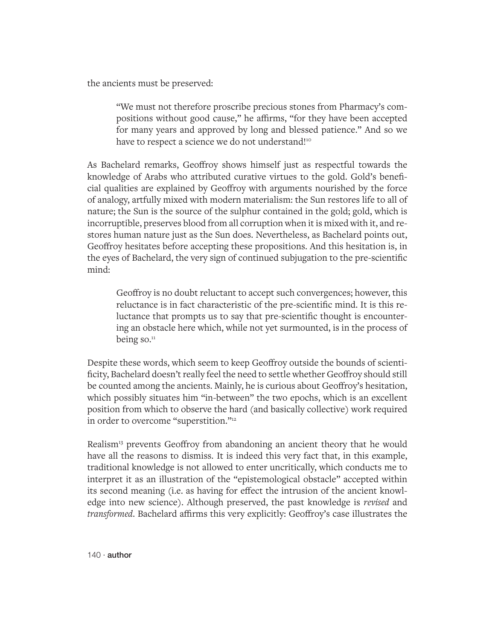the ancients must be preserved:

"We must not therefore proscribe precious stones from Pharmacy's compositions without good cause," he affirms, "for they have been accepted for many years and approved by long and blessed patience." And so we have to respect a science we do not understand!<sup>10</sup>

As Bachelard remarks, Geoffroy shows himself just as respectful towards the knowledge of Arabs who attributed curative virtues to the gold. Gold's beneficial qualities are explained by Geoffroy with arguments nourished by the force of analogy, artfully mixed with modern materialism: the Sun restores life to all of nature; the Sun is the source of the sulphur contained in the gold; gold, which is incorruptible, preserves blood from all corruption when it is mixed with it, and restores human nature just as the Sun does. Nevertheless, as Bachelard points out, Geoffroy hesitates before accepting these propositions. And this hesitation is, in the eyes of Bachelard, the very sign of continued subjugation to the pre-scientific mind:

Geoffroy is no doubt reluctant to accept such convergences; however, this reluctance is in fact characteristic of the pre-scientific mind. It is this reluctance that prompts us to say that pre-scientific thought is encountering an obstacle here which, while not yet surmounted, is in the process of being so. $<sup>11</sup>$ </sup>

Despite these words, which seem to keep Geoffroy outside the bounds of scientificity, Bachelard doesn't really feel the need to settle whether Geoffroy should still be counted among the ancients. Mainly, he is curious about Geoffroy's hesitation, which possibly situates him "in-between" the two epochs, which is an excellent position from which to observe the hard (and basically collective) work required in order to overcome "superstition."12

Realism<sup>13</sup> prevents Geoffroy from abandoning an ancient theory that he would have all the reasons to dismiss. It is indeed this very fact that, in this example, traditional knowledge is not allowed to enter uncritically, which conducts me to interpret it as an illustration of the "epistemological obstacle" accepted within its second meaning (i.e. as having for effect the intrusion of the ancient knowledge into new science). Although preserved, the past knowledge is *revised* and *transformed*. Bachelard affirms this very explicitly: Geoffroy's case illustrates the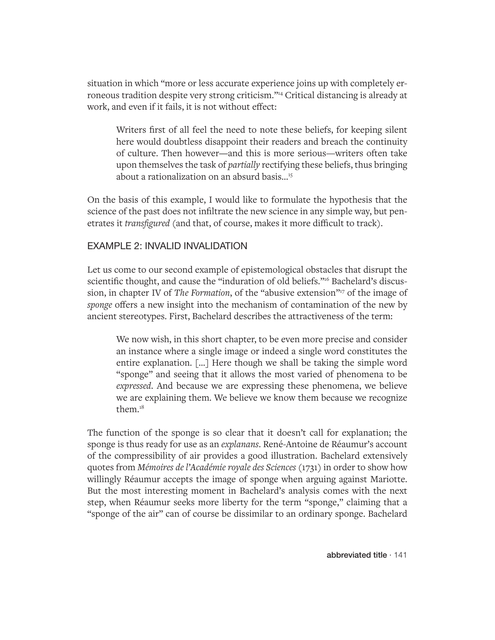situation in which "more or less accurate experience joins up with completely erroneous tradition despite very strong criticism."14 Critical distancing is already at work, and even if it fails, it is not without effect:

Writers first of all feel the need to note these beliefs, for keeping silent here would doubtless disappoint their readers and breach the continuity of culture. Then however—and this is more serious—writers often take upon themselves the task of *partially* rectifying these beliefs, thus bringing about a rationalization on an absurd basis...<sup>15</sup>

On the basis of this example, I would like to formulate the hypothesis that the science of the past does not infiltrate the new science in any simple way, but penetrates it *transfigured* (and that, of course, makes it more difficult to track).

## EXAMPLE 2: INVALID INVALIDATION

Let us come to our second example of epistemological obstacles that disrupt the scientific thought, and cause the "induration of old beliefs."<sup>16</sup> Bachelard's discussion, in chapter IV of *The Formation*, of the "abusive extension"<sup>17</sup> of the image of *sponge* offers a new insight into the mechanism of contamination of the new by ancient stereotypes. First, Bachelard describes the attractiveness of the term:

We now wish, in this short chapter, to be even more precise and consider an instance where a single image or indeed a single word constitutes the entire explanation. […] Here though we shall be taking the simple word "sponge" and seeing that it allows the most varied of phenomena to be *expressed*. And because we are expressing these phenomena, we believe we are explaining them. We believe we know them because we recognize them.<sup>18</sup>

The function of the sponge is so clear that it doesn't call for explanation; the sponge is thus ready for use as an *explanans*. René-Antoine de Réaumur's account of the compressibility of air provides a good illustration. Bachelard extensively quotes from *Mémoires de l'Académie royale des Sciences* (1731) in order to show how willingly Réaumur accepts the image of sponge when arguing against Mariotte. But the most interesting moment in Bachelard's analysis comes with the next step, when Réaumur seeks more liberty for the term "sponge," claiming that a "sponge of the air" can of course be dissimilar to an ordinary sponge. Bachelard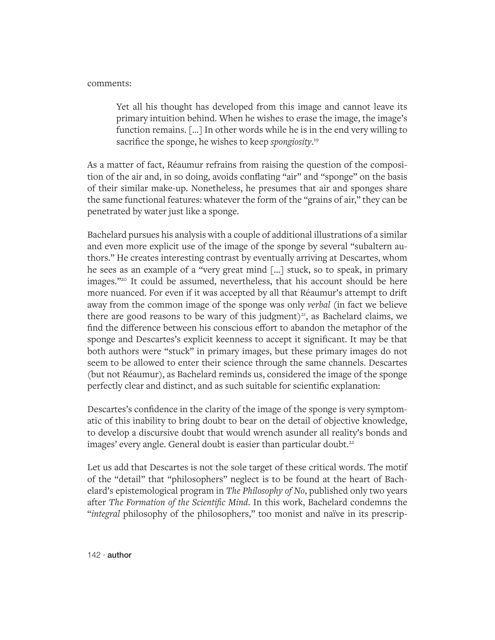#### comments:

Yet all his thought has developed from this image and cannot leave its primary intuition behind. When he wishes to erase the image, the image's function remains. […] In other words while he is in the end very willing to sacrifice the sponge, he wishes to keep *spongiosity*. 19

As a matter of fact, Réaumur refrains from raising the question of the composition of the air and, in so doing, avoids conflating "air" and "sponge" on the basis of their similar make-up. Nonetheless, he presumes that air and sponges share the same functional features: whatever the form of the "grains of air," they can be penetrated by water just like a sponge.

Bachelard pursues his analysis with a couple of additional illustrations of a similar and even more explicit use of the image of the sponge by several "subaltern authors." He creates interesting contrast by eventually arriving at Descartes, whom he sees as an example of a "very great mind […] stuck, so to speak, in primary images."20 It could be assumed, nevertheless, that his account should be here more nuanced. For even if it was accepted by all that Réaumur's attempt to drift away from the common image of the sponge was only *verbal* (in fact we believe there are good reasons to be wary of this judgment)<sup>21</sup>, as Bachelard claims, we find the difference between his conscious effort to abandon the metaphor of the sponge and Descartes's explicit keenness to accept it significant. It may be that both authors were "stuck" in primary images, but these primary images do not seem to be allowed to enter their science through the same channels. Descartes (but not Réaumur), as Bachelard reminds us, considered the image of the sponge perfectly clear and distinct, and as such suitable for scientific explanation:

Descartes's confidence in the clarity of the image of the sponge is very symptomatic of this inability to bring doubt to bear on the detail of objective knowledge, to develop a discursive doubt that would wrench asunder all reality's bonds and images' every angle. General doubt is easier than particular doubt.<sup>22</sup>

Let us add that Descartes is not the sole target of these critical words. The motif of the "detail" that "philosophers" neglect is to be found at the heart of Bachelard's epistemological program in *The Philosophy of No*, published only two years after *The Formation of the Scientific Mind*. In this work, Bachelard condemns the "*integral* philosophy of the philosophers," too monist and naïve in its prescrip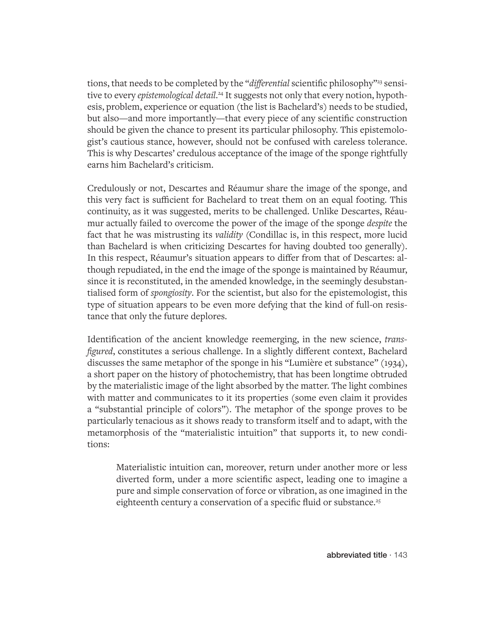tions, that needs to be completed by the "*differential* scientific philosophy"<sup>23</sup> sensitive to every *epistemological detail*. 24 It suggests not only that every notion, hypothesis, problem, experience or equation (the list is Bachelard's) needs to be studied, but also—and more importantly—that every piece of any scientific construction should be given the chance to present its particular philosophy. This epistemologist's cautious stance, however, should not be confused with careless tolerance. This is why Descartes' credulous acceptance of the image of the sponge rightfully earns him Bachelard's criticism.

Credulously or not, Descartes and Réaumur share the image of the sponge, and this very fact is sufficient for Bachelard to treat them on an equal footing. This continuity, as it was suggested, merits to be challenged. Unlike Descartes, Réaumur actually failed to overcome the power of the image of the sponge *despite* the fact that he was mistrusting its *validity* (Condillac is, in this respect, more lucid than Bachelard is when criticizing Descartes for having doubted too generally). In this respect, Réaumur's situation appears to differ from that of Descartes: although repudiated, in the end the image of the sponge is maintained by Réaumur, since it is reconstituted, in the amended knowledge, in the seemingly desubstantialised form of *spongiosity*. For the scientist, but also for the epistemologist, this type of situation appears to be even more defying that the kind of full-on resistance that only the future deplores.

Identification of the ancient knowledge reemerging, in the new science, *transfigured*, constitutes a serious challenge. In a slightly different context, Bachelard discusses the same metaphor of the sponge in his "Lumière et substance" (1934), a short paper on the history of photochemistry, that has been longtime obtruded by the materialistic image of the light absorbed by the matter. The light combines with matter and communicates to it its properties (some even claim it provides a "substantial principle of colors"). The metaphor of the sponge proves to be particularly tenacious as it shows ready to transform itself and to adapt, with the metamorphosis of the "materialistic intuition" that supports it, to new conditions:

Materialistic intuition can, moreover, return under another more or less diverted form, under a more scientific aspect, leading one to imagine a pure and simple conservation of force or vibration, as one imagined in the eighteenth century a conservation of a specific fluid or substance.<sup>25</sup>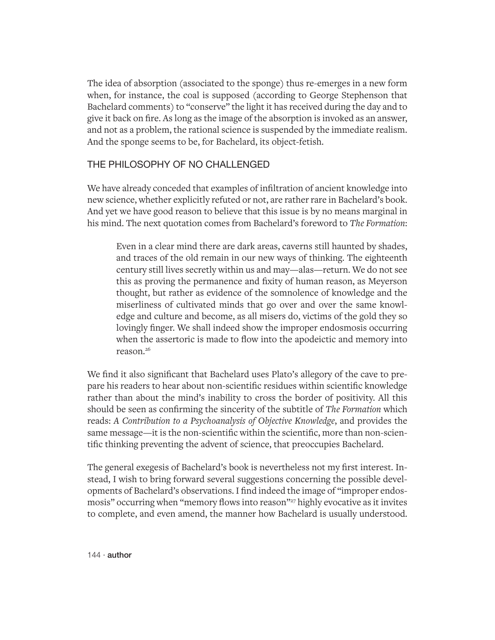The idea of absorption (associated to the sponge) thus re-emerges in a new form when, for instance, the coal is supposed (according to George Stephenson that Bachelard comments) to "conserve" the light it has received during the day and to give it back on fire. As long as the image of the absorption is invoked as an answer, and not as a problem, the rational science is suspended by the immediate realism. And the sponge seems to be, for Bachelard, its object-fetish.

### THE PHILOSOPHY OF NO CHALLENGED

We have already conceded that examples of infiltration of ancient knowledge into new science, whether explicitly refuted or not, are rather rare in Bachelard's book. And yet we have good reason to believe that this issue is by no means marginal in his mind. The next quotation comes from Bachelard's foreword to *The Formation*:

Even in a clear mind there are dark areas, caverns still haunted by shades, and traces of the old remain in our new ways of thinking. The eighteenth century still lives secretly within us and may—alas—return. We do not see this as proving the permanence and fixity of human reason, as Meyerson thought, but rather as evidence of the somnolence of knowledge and the miserliness of cultivated minds that go over and over the same knowledge and culture and become, as all misers do, victims of the gold they so lovingly finger. We shall indeed show the improper endosmosis occurring when the assertoric is made to flow into the apodeictic and memory into reason.26

We find it also significant that Bachelard uses Plato's allegory of the cave to prepare his readers to hear about non-scientific residues within scientific knowledge rather than about the mind's inability to cross the border of positivity. All this should be seen as confirming the sincerity of the subtitle of *The Formation* which reads: *A Contribution to a Psychoanalysis of Objective Knowledge*, and provides the same message—it is the non-scientific within the scientific, more than non-scientific thinking preventing the advent of science, that preoccupies Bachelard.

The general exegesis of Bachelard's book is nevertheless not my first interest. Instead, I wish to bring forward several suggestions concerning the possible developments of Bachelard's observations. I find indeed the image of "improper endosmosis" occurring when "memory flows into reason"<sup>27</sup> highly evocative as it invites to complete, and even amend, the manner how Bachelard is usually understood.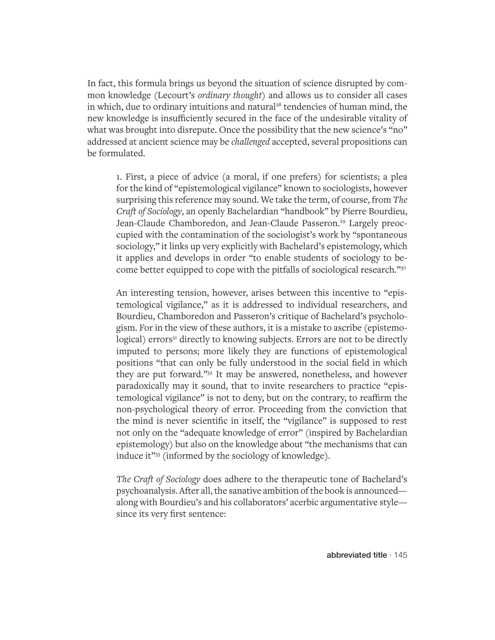In fact, this formula brings us beyond the situation of science disrupted by common knowledge (Lecourt's *ordinary thought*) and allows us to consider all cases in which, due to ordinary intuitions and natural<sup>28</sup> tendencies of human mind, the new knowledge is insufficiently secured in the face of the undesirable vitality of what was brought into disrepute. Once the possibility that the new science's "no" addressed at ancient science may be *challenged* accepted, several propositions can be formulated.

1. First, a piece of advice (a moral, if one prefers) for scientists; a plea for the kind of "epistemological vigilance" known to sociologists, however surprising this reference may sound. We take the term, of course, from *The Craft of Sociology*, an openly Bachelardian "handbook" by Pierre Bourdieu, Jean-Claude Chamboredon, and Jean-Claude Passeron.<sup>29</sup> Largely preoccupied with the contamination of the sociologist's work by "spontaneous sociology," it links up very explicitly with Bachelard's epistemology, which it applies and develops in order "to enable students of sociology to become better equipped to cope with the pitfalls of sociological research."30

An interesting tension, however, arises between this incentive to "epistemological vigilance," as it is addressed to individual researchers, and Bourdieu, Chamboredon and Passeron's critique of Bachelard's psychologism. For in the view of these authors, it is a mistake to ascribe (epistemological) errors<sup>31</sup> directly to knowing subjects. Errors are not to be directly imputed to persons; more likely they are functions of epistemological positions "that can only be fully understood in the social field in which they are put forward."32 It may be answered, nonetheless, and however paradoxically may it sound, that to invite researchers to practice "epistemological vigilance" is not to deny, but on the contrary, to reaffirm the non-psychological theory of error. Proceeding from the conviction that the mind is never scientific in itself, the "vigilance" is supposed to rest not only on the "adequate knowledge of error" (inspired by Bachelardian epistemology) but also on the knowledge about "the mechanisms that can induce it"33 (informed by the sociology of knowledge).

*The Craft of Sociology* does adhere to the therapeutic tone of Bachelard's psychoanalysis. After all, the sanative ambition of the book is announced along with Bourdieu's and his collaborators' acerbic argumentative style since its very first sentence: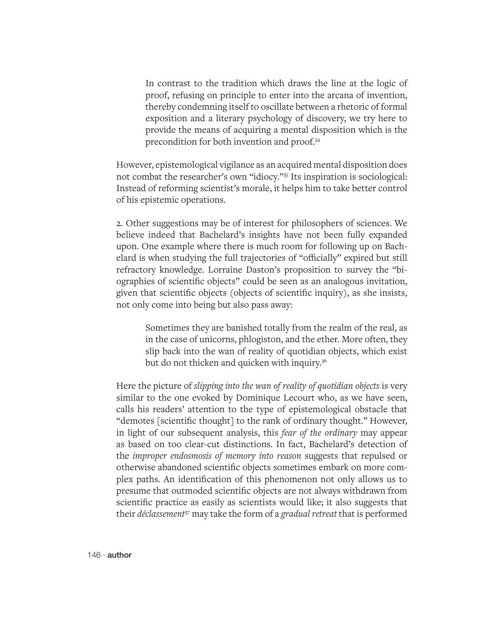In contrast to the tradition which draws the line at the logic of proof, refusing on principle to enter into the arcana of invention, thereby condemning itself to oscillate between a rhetoric of formal exposition and a literary psychology of discovery, we try here to provide the means of acquiring a mental disposition which is the precondition for both invention and proof.34

However, epistemological vigilance as an acquired mental disposition does not combat the researcher's own "idiocy."35 Its inspiration is sociological: Instead of reforming scientist's morale, it helps him to take better control of his epistemic operations.

2. Other suggestions may be of interest for philosophers of sciences. We believe indeed that Bachelard's insights have not been fully expanded upon. One example where there is much room for following up on Bachelard is when studying the full trajectories of "officially" expired but still refractory knowledge. Lorraine Daston's proposition to survey the "biographies of scientific objects" could be seen as an analogous invitation, given that scientific objects (objects of scientific inquiry), as she insists, not only come into being but also pass away:

Sometimes they are banished totally from the realm of the real, as in the case of unicorns, phlogiston, and the ether. More often, they slip back into the wan of reality of quotidian objects, which exist but do not thicken and quicken with inquiry.<sup>36</sup>

Here the picture of *slipping into the wan of reality of quotidian objects* is very similar to the one evoked by Dominique Lecourt who, as we have seen, calls his readers' attention to the type of epistemological obstacle that "demotes [scientific thought] to the rank of ordinary thought." However, in light of our subsequent analysis, this *fear of the ordinary* may appear as based on too clear-cut distinctions. In fact, Bachelard's detection of the *improper endosmosis of memory into reason* suggests that repulsed or otherwise abandoned scientific objects sometimes embark on more complex paths. An identification of this phenomenon not only allows us to presume that outmoded scientific objects are not always withdrawn from scientific practice as easily as scientists would like; it also suggests that their *déclassement*37 may take the form of a *gradual retreat* that is performed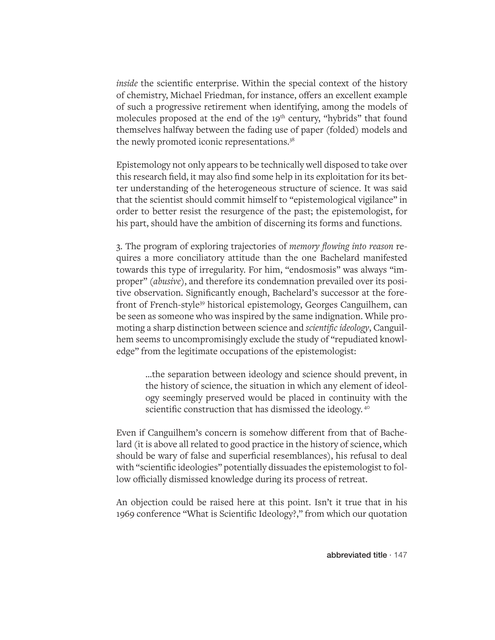*inside* the scientific enterprise. Within the special context of the history of chemistry, Michael Friedman, for instance, offers an excellent example of such a progressive retirement when identifying, among the models of molecules proposed at the end of the  $19<sup>th</sup>$  century, "hybrids" that found themselves halfway between the fading use of paper (folded) models and the newly promoted iconic representations.<sup>38</sup>

Epistemology not only appears to be technically well disposed to take over this research field, it may also find some help in its exploitation for its better understanding of the heterogeneous structure of science. It was said that the scientist should commit himself to "epistemological vigilance" in order to better resist the resurgence of the past; the epistemologist, for his part, should have the ambition of discerning its forms and functions.

3. The program of exploring trajectories of *memory flowing into reason* requires a more conciliatory attitude than the one Bachelard manifested towards this type of irregularity. For him, "endosmosis" was always "improper" (*abusive*), and therefore its condemnation prevailed over its positive observation. Significantly enough, Bachelard's successor at the forefront of French-style39 historical epistemology, Georges Canguilhem, can be seen as someone who was inspired by the same indignation. While promoting a sharp distinction between science and *scientific ideology*, Canguilhem seems to uncompromisingly exclude the study of "repudiated knowledge" from the legitimate occupations of the epistemologist:

…the separation between ideology and science should prevent, in the history of science, the situation in which any element of ideology seemingly preserved would be placed in continuity with the scientific construction that has dismissed the ideology.<sup>40</sup>

Even if Canguilhem's concern is somehow different from that of Bachelard (it is above all related to good practice in the history of science, which should be wary of false and superficial resemblances), his refusal to deal with "scientific ideologies" potentially dissuades the epistemologist to follow officially dismissed knowledge during its process of retreat.

An objection could be raised here at this point. Isn't it true that in his 1969 conference "What is Scientific Ideology?," from which our quotation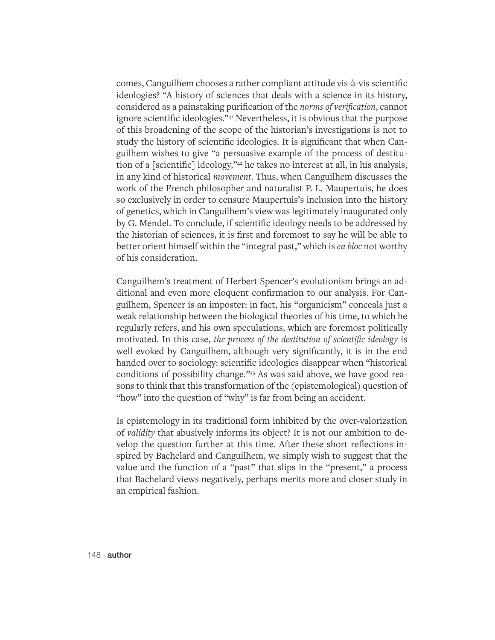comes, Canguilhem chooses a rather compliant attitude vis-à-vis scientific ideologies? "A history of sciences that deals with a science in its history, considered as a painstaking purification of the *norms of verification*, cannot ignore scientific ideologies."41 Nevertheless, it is obvious that the purpose of this broadening of the scope of the historian's investigations is not to study the history of scientific ideologies. It is significant that when Canguilhem wishes to give "a persuasive example of the process of destitution of a [scientific] ideology,"42 he takes no interest at all, in his analysis, in any kind of historical *movement*. Thus, when Canguilhem discusses the work of the French philosopher and naturalist P. L. Maupertuis, he does so exclusively in order to censure Maupertuis's inclusion into the history of genetics, which in Canguilhem's view was legitimately inaugurated only by G. Mendel. To conclude, if scientific ideology needs to be addressed by the historian of sciences, it is first and foremost to say he will be able to better orient himself within the "integral past," which is *en bloc* not worthy of his consideration.

Canguilhem's treatment of Herbert Spencer's evolutionism brings an additional and even more eloquent confirmation to our analysis. For Canguilhem, Spencer is an imposter: in fact, his "organicism" conceals just a weak relationship between the biological theories of his time, to which he regularly refers, and his own speculations, which are foremost politically motivated. In this case, *the process of the destitution of scientific ideology* is well evoked by Canguilhem, although very significantly, it is in the end handed over to sociology: scientific ideologies disappear when "historical conditions of possibility change."43 As was said above, we have good reasons to think that this transformation of the (epistemological) question of "how" into the question of "why" is far from being an accident.

Is epistemology in its traditional form inhibited by the over-valorization of *validity* that abusively informs its object? It is not our ambition to develop the question further at this time. After these short reflections inspired by Bachelard and Canguilhem, we simply wish to suggest that the value and the function of a "past" that slips in the "present," a process that Bachelard views negatively, perhaps merits more and closer study in an empirical fashion.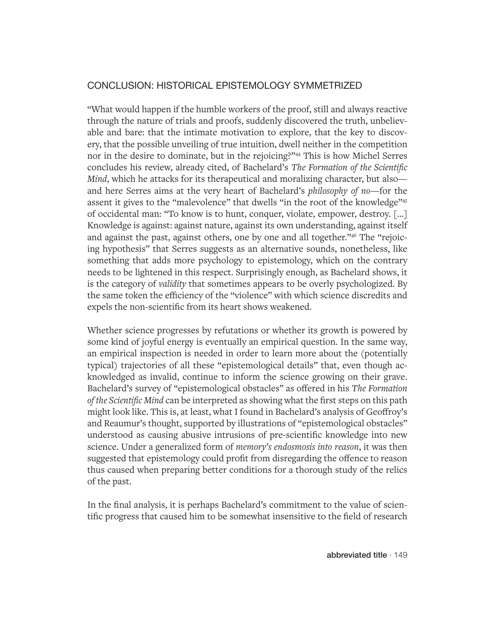# CONCLUSION: HISTORICAL EPISTEMOLOGY SYMMETRIZED

"What would happen if the humble workers of the proof, still and always reactive through the nature of trials and proofs, suddenly discovered the truth, unbelievable and bare: that the intimate motivation to explore, that the key to discovery, that the possible unveiling of true intuition, dwell neither in the competition nor in the desire to dominate, but in the rejoicing?"<sup>44</sup> This is how Michel Serres concludes his review, already cited, of Bachelard's *The Formation of the Scientific Mind*, which he attacks for its therapeutical and moralizing character, but also and here Serres aims at the very heart of Bachelard's *philosophy of no*—for the assent it gives to the "malevolence" that dwells "in the root of the knowledge"45 of occidental man: "To know is to hunt, conquer, violate, empower, destroy. […] Knowledge is against: against nature, against its own understanding, against itself and against the past, against others, one by one and all together."46 The "rejoicing hypothesis" that Serres suggests as an alternative sounds, nonetheless, like something that adds more psychology to epistemology, which on the contrary needs to be lightened in this respect. Surprisingly enough, as Bachelard shows, it is the category of *validity* that sometimes appears to be overly psychologized. By the same token the efficiency of the "violence" with which science discredits and expels the non-scientific from its heart shows weakened.

Whether science progresses by refutations or whether its growth is powered by some kind of joyful energy is eventually an empirical question. In the same way, an empirical inspection is needed in order to learn more about the (potentially typical) trajectories of all these "epistemological details" that, even though acknowledged as invalid, continue to inform the science growing on their grave. Bachelard's survey of "epistemological obstacles" as offered in his *The Formation of the Scientific Mind* can be interpreted as showing what the first steps on this path might look like. This is, at least, what I found in Bachelard's analysis of Geoffroy's and Reaumur's thought, supported by illustrations of "epistemological obstacles" understood as causing abusive intrusions of pre-scientific knowledge into new science. Under a generalized form of *memory's endosmosis into reason*, it was then suggested that epistemology could profit from disregarding the offence to reason thus caused when preparing better conditions for a thorough study of the relics of the past.

In the final analysis, it is perhaps Bachelard's commitment to the value of scientific progress that caused him to be somewhat insensitive to the field of research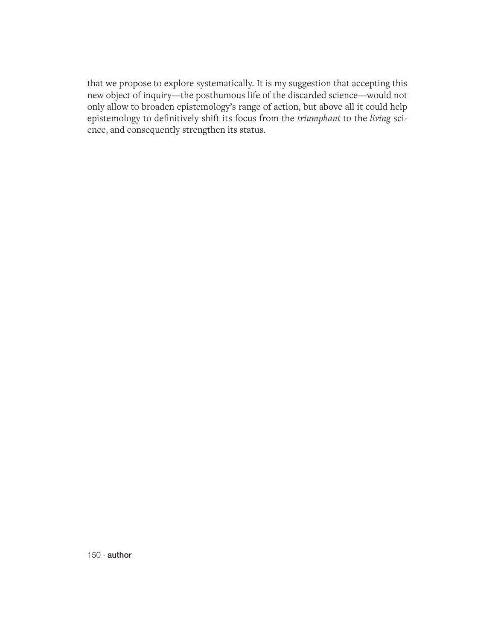that we propose to explore systematically. It is my suggestion that accepting this new object of inquiry—the posthumous life of the discarded science—would not only allow to broaden epistemology's range of action, but above all it could help epistemology to definitively shift its focus from the *triumphant* to the *living* science, and consequently strengthen its status.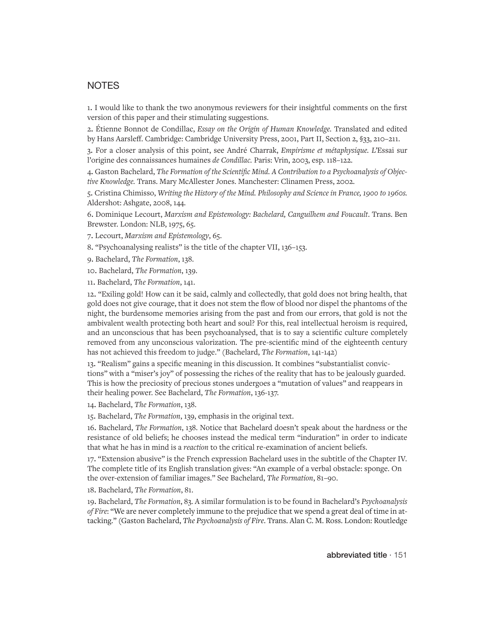#### **NOTES**

1. I would like to thank the two anonymous reviewers for their insightful comments on the first version of this paper and their stimulating suggestions.

2. Étienne Bonnot de Condillac, *Essay on the Origin of Human Knowledge.* Translated and edited by Hans Aarsleff. Cambridge: Cambridge University Press, 2001, Part II, Section 2, §33, 210–211.

3. For a closer analysis of this point, see André Charrak, *Empirisme et métaphysique. L'*Essai sur l'origine des connaissances humaines *de Condillac.* Paris: Vrin, 2003, esp. 118–122.

4. Gaston Bachelard, *The Formation of the Scientific Mind. A Contribution to a Psychoanalysis of Objective Knowledge.* Trans. Mary McAllester Jones. Manchester: Clinamen Press, 2002.

5. Cristina Chimisso, *Writing the History of the Mind. Philosophy and Science in France, 1900 to 1960s.*  Aldershot: Ashgate, 2008, 144.

6. Dominique Lecourt, *Marxism and Epistemology: Bachelard, Canguilhem and Foucault*. Trans. Ben Brewster. London: NLB, 1975, 65.

7. Lecourt, *Marxism and Epistemology*, 65.

8. "Psychoanalysing realists" is the title of the chapter VII, 136–153.

9. Bachelard, *The Formation*, 138.

10. Bachelard, *The Formation*, 139.

11. Bachelard, *The Formation*, 141.

12. "Exiling gold! How can it be said, calmly and collectedly, that gold does not bring health, that gold does not give courage, that it does not stem the flow of blood nor dispel the phantoms of the night, the burdensome memories arising from the past and from our errors, that gold is not the ambivalent wealth protecting both heart and soul? For this, real intellectual heroism is required, and an unconscious that has been psychoanalysed, that is to say a scientific culture completely removed from any unconscious valorization. The pre-scientific mind of the eighteenth century has not achieved this freedom to judge." (Bachelard, *The Formation*, 141-142)

13. "Realism" gains a specific meaning in this discussion. It combines "substantialist convictions" with a "miser's joy" of possessing the riches of the reality that has to be jealously guarded. This is how the preciosity of precious stones undergoes a "mutation of values" and reappears in their healing power. See Bachelard, *The Formation*, 136-137.

14. Bachelard, *The Formation*, 138.

15. Bachelard, *The Formation*, 139, emphasis in the original text.

16. Bachelard, *The Formation*, 138. Notice that Bachelard doesn't speak about the hardness or the resistance of old beliefs; he chooses instead the medical term "induration" in order to indicate that what he has in mind is a *reaction* to the critical re-examination of ancient beliefs.

17. "Extension abusive" is the French expression Bachelard uses in the subtitle of the Chapter IV. The complete title of its English translation gives: "An example of a verbal obstacle: sponge. On the over-extension of familiar images." See Bachelard, *The Formation*, 81–90.

18. Bachelard, *The Formation*, 81.

19. Bachelard, *The Formation*, 83. A similar formulation is to be found in Bachelard's *Psychoanalysis of Fire*: "We are never completely immune to the prejudice that we spend a great deal of time in attacking." (Gaston Bachelard, *The Psychoanalysis of Fire*. Trans. Alan C. M. Ross. London: Routledge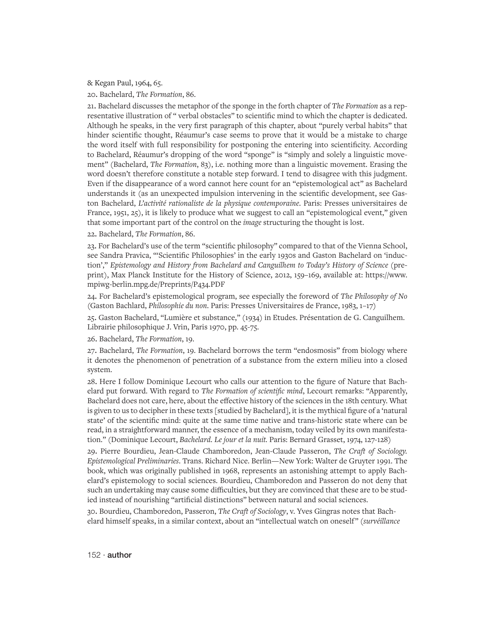& Kegan Paul, 1964, 65.

20. Bachelard, *The Formation*, 86.

21. Bachelard discusses the metaphor of the sponge in the forth chapter of *The Formation* as a representative illustration of " verbal obstacles" to scientific mind to which the chapter is dedicated. Although he speaks, in the very first paragraph of this chapter, about "purely verbal habits" that hinder scientific thought, Réaumur's case seems to prove that it would be a mistake to charge the word itself with full responsibility for postponing the entering into scientificity. According to Bachelard, Réaumur's dropping of the word "sponge" is "simply and solely a linguistic movement" (Bachelard, *The Formation*, 83), i.e. nothing more than a linguistic movement. Erasing the word doesn't therefore constitute a notable step forward. I tend to disagree with this judgment. Even if the disappearance of a word cannot here count for an "epistemological act" as Bachelard understands it (as an unexpected impulsion intervening in the scientific development, see Gaston Bachelard, *L'activité rationaliste de la physique contemporaine*. Paris: Presses universitaires de France, 1951, 25), it is likely to produce what we suggest to call an "epistemological event," given that some important part of the control on the *image* structuring the thought is lost.

22. Bachelard, *The Formation*, 86.

23. For Bachelard's use of the term "scientific philosophy" compared to that of the Vienna School, see Sandra Pravica, "'Scientific Philosophies' in the early 1930s and Gaston Bachelard on 'induction'," *Epistemology and History from Bachelard and Canguilhem to Today's History of Science* (preprint), Max Planck Institute for the History of Science, 2012, 159–169, available at: https://www. mpiwg-berlin.mpg.de/Preprints/P434.PDF

24. For Bachelard's epistemological program, see especially the foreword of *The Philosophy of No* (Gaston Bachlard, *Philosophie du non*. Paris: Presses Universitaires de France, 1983, 1–17)

25. Gaston Bachelard, "Lumière et substance," (1934) in Etudes. Présentation de G. Canguilhem. Librairie philosophique J. Vrin, Paris 1970, pp. 45-75.

26. Bachelard, *The Formation*, 19.

27. Bachelard, *The Formation*, 19. Bachelard borrows the term "endosmosis" from biology where it denotes the phenomenon of penetration of a substance from the extern milieu into a closed system.

28. Here I follow Dominique Lecourt who calls our attention to the figure of Nature that Bachelard put forward. With regard to *The Formation of scientific mind*, Lecourt remarks: "Apparently, Bachelard does not care, here, about the effective history of the sciences in the 18th century. What is given to us to decipher in these texts [studied by Bachelard], it is the mythical figure of a 'natural state' of the scientific mind: quite at the same time native and trans-historic state where can be read, in a straightforward manner, the essence of a mechanism, today veiled by its own manifestation." (Dominique Lecourt, *Bachelard. Le jour et la nuit.* Paris: Bernard Grasset, 1974, 127-128)

29. Pierre Bourdieu, Jean-Claude Chamboredon, Jean-Claude Passeron, *The Craft of Sociology. Epistemological Preliminaries*. Trans. Richard Nice. Berlin—New York: Walter de Gruyter 1991. The book, which was originally published in 1968, represents an astonishing attempt to apply Bachelard's epistemology to social sciences. Bourdieu, Chamboredon and Passeron do not deny that such an undertaking may cause some difficulties, but they are convinced that these are to be studied instead of nourishing "artificial distinctions" between natural and social sciences.

30. Bourdieu, Chamboredon, Passeron, *The Craft of Sociology*, v. Yves Gingras notes that Bachelard himself speaks, in a similar context, about an "intellectual watch on oneself" (*survéillance*